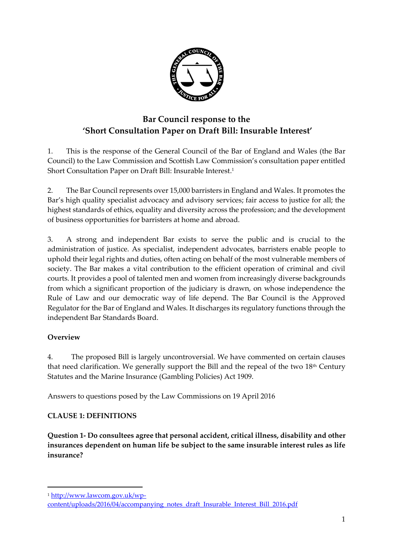

# **Bar Council response to the 'Short Consultation Paper on Draft Bill: Insurable Interest'**

1. This is the response of the General Council of the Bar of England and Wales (the Bar Council) to the Law Commission and Scottish Law Commission's consultation paper entitled Short Consultation Paper on Draft Bill: Insurable Interest. 1

2. The Bar Council represents over 15,000 barristers in England and Wales. It promotes the Bar's high quality specialist advocacy and advisory services; fair access to justice for all; the highest standards of ethics, equality and diversity across the profession; and the development of business opportunities for barristers at home and abroad.

3. A strong and independent Bar exists to serve the public and is crucial to the administration of justice. As specialist, independent advocates, barristers enable people to uphold their legal rights and duties, often acting on behalf of the most vulnerable members of society. The Bar makes a vital contribution to the efficient operation of criminal and civil courts. It provides a pool of talented men and women from increasingly diverse backgrounds from which a significant proportion of the judiciary is drawn, on whose independence the Rule of Law and our democratic way of life depend. The Bar Council is the Approved Regulator for the Bar of England and Wales. It discharges its regulatory functions through the independent Bar Standards Board.

# **Overview**

1

4. The proposed Bill is largely uncontroversial. We have commented on certain clauses that need clarification. We generally support the Bill and the repeal of the two  $18<sup>th</sup>$  Century Statutes and the Marine Insurance (Gambling Policies) Act 1909.

Answers to questions posed by the Law Commissions on 19 April 2016

# **CLAUSE 1: DEFINITIONS**

**Question 1- Do consultees agree that personal accident, critical illness, disability and other insurances dependent on human life be subject to the same insurable interest rules as life insurance?**

<sup>1</sup> [http://www.lawcom.gov.uk/wp-](http://www.lawcom.gov.uk/wp-content/uploads/2016/04/accompanying_notes_draft_Insurable_Interest_Bill_2016.pdf)

[content/uploads/2016/04/accompanying\\_notes\\_draft\\_Insurable\\_Interest\\_Bill\\_2016.pdf](http://www.lawcom.gov.uk/wp-content/uploads/2016/04/accompanying_notes_draft_Insurable_Interest_Bill_2016.pdf)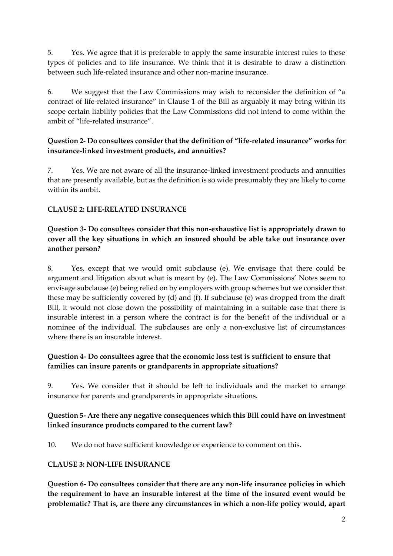5. Yes. We agree that it is preferable to apply the same insurable interest rules to these types of policies and to life insurance. We think that it is desirable to draw a distinction between such life-related insurance and other non-marine insurance.

6. We suggest that the Law Commissions may wish to reconsider the definition of "a contract of life-related insurance" in Clause 1 of the Bill as arguably it may bring within its scope certain liability policies that the Law Commissions did not intend to come within the ambit of "life-related insurance".

## **Question 2- Do consultees consider that the definition of "life-related insurance" works for insurance-linked investment products, and annuities?**

7. Yes. We are not aware of all the insurance-linked investment products and annuities that are presently available, but as the definition is so wide presumably they are likely to come within its ambit.

# **CLAUSE 2: LIFE-RELATED INSURANCE**

## **Question 3- Do consultees consider that this non-exhaustive list is appropriately drawn to cover all the key situations in which an insured should be able take out insurance over another person?**

8. Yes, except that we would omit subclause (e). We envisage that there could be argument and litigation about what is meant by (e). The Law Commissions' Notes seem to envisage subclause (e) being relied on by employers with group schemes but we consider that these may be sufficiently covered by (d) and (f). If subclause (e) was dropped from the draft Bill, it would not close down the possibility of maintaining in a suitable case that there is insurable interest in a person where the contract is for the benefit of the individual or a nominee of the individual. The subclauses are only a non-exclusive list of circumstances where there is an insurable interest.

## **Question 4- Do consultees agree that the economic loss test is sufficient to ensure that families can insure parents or grandparents in appropriate situations?**

9. Yes. We consider that it should be left to individuals and the market to arrange insurance for parents and grandparents in appropriate situations.

## **Question 5- Are there any negative consequences which this Bill could have on investment linked insurance products compared to the current law?**

10. We do not have sufficient knowledge or experience to comment on this.

# **CLAUSE 3: NON-LIFE INSURANCE**

**Question 6- Do consultees consider that there are any non-life insurance policies in which the requirement to have an insurable interest at the time of the insured event would be problematic? That is, are there any circumstances in which a non-life policy would, apart**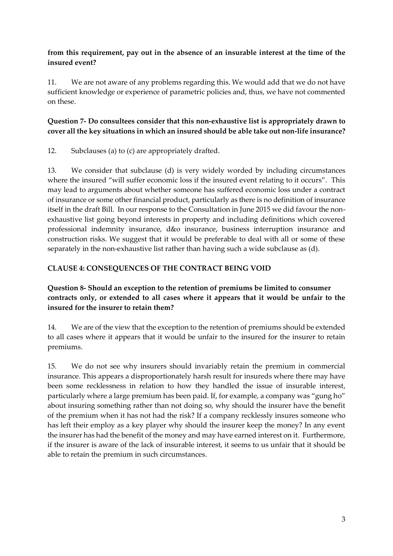## **from this requirement, pay out in the absence of an insurable interest at the time of the insured event?**

11. We are not aware of any problems regarding this. We would add that we do not have sufficient knowledge or experience of parametric policies and, thus, we have not commented on these.

# **Question 7- Do consultees consider that this non-exhaustive list is appropriately drawn to cover all the key situations in which an insured should be able take out non-life insurance?**

12. Subclauses (a) to (c) are appropriately drafted.

13. We consider that subclause (d) is very widely worded by including circumstances where the insured "will suffer economic loss if the insured event relating to it occurs". This may lead to arguments about whether someone has suffered economic loss under a contract of insurance or some other financial product, particularly as there is no definition of insurance itself in the draft Bill. In our response to the Consultation in June 2015 we did favour the nonexhaustive list going beyond interests in property and including definitions which covered professional indemnity insurance, d&o insurance, business interruption insurance and construction risks. We suggest that it would be preferable to deal with all or some of these separately in the non-exhaustive list rather than having such a wide subclause as (d).

## **CLAUSE 4: CONSEQUENCES OF THE CONTRACT BEING VOID**

## **Question 8- Should an exception to the retention of premiums be limited to consumer contracts only, or extended to all cases where it appears that it would be unfair to the insured for the insurer to retain them?**

14. We are of the view that the exception to the retention of premiums should be extended to all cases where it appears that it would be unfair to the insured for the insurer to retain premiums.

15. We do not see why insurers should invariably retain the premium in commercial insurance. This appears a disproportionately harsh result for insureds where there may have been some recklessness in relation to how they handled the issue of insurable interest, particularly where a large premium has been paid. If, for example, a company was "gung ho" about insuring something rather than not doing so, why should the insurer have the benefit of the premium when it has not had the risk? If a company recklessly insures someone who has left their employ as a key player why should the insurer keep the money? In any event the insurer has had the benefit of the money and may have earned interest on it. Furthermore, if the insurer is aware of the lack of insurable interest, it seems to us unfair that it should be able to retain the premium in such circumstances.